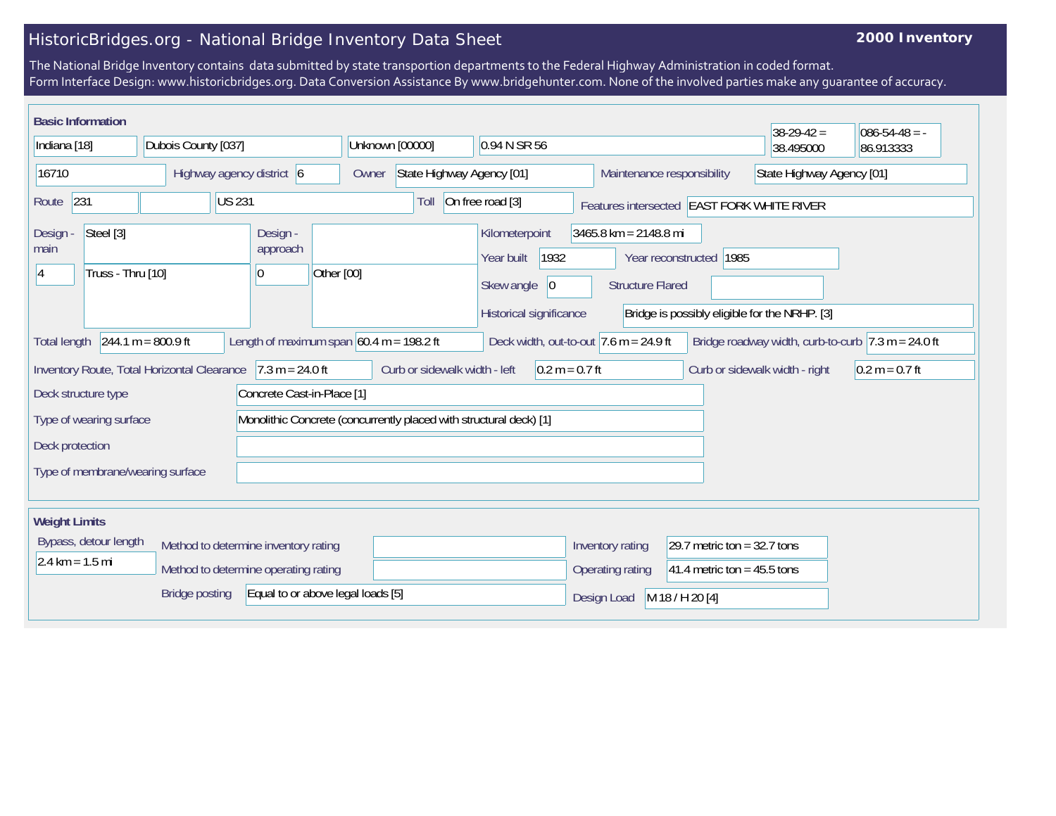## HistoricBridges.org - National Bridge Inventory Data Sheet

## **2000 Inventory**

The National Bridge Inventory contains data submitted by state transportion departments to the Federal Highway Administration in coded format. Form Interface Design: www.historicbridges.org. Data Conversion Assistance By www.bridgehunter.com. None of the involved parties make any guarantee of accuracy.

| <b>Basic Information</b>                                                                                                                                                                                                   |                                                                                                                                                                             |                                                                              |                                    |                                                                                      |                                                  |                                                                | $38-29-42=$                                   | $086 - 54 - 48 = -$ |
|----------------------------------------------------------------------------------------------------------------------------------------------------------------------------------------------------------------------------|-----------------------------------------------------------------------------------------------------------------------------------------------------------------------------|------------------------------------------------------------------------------|------------------------------------|--------------------------------------------------------------------------------------|--------------------------------------------------|----------------------------------------------------------------|-----------------------------------------------|---------------------|
| Indiana [18]                                                                                                                                                                                                               | Dubois County [037]                                                                                                                                                         |                                                                              | Unknown [00000]                    | 0.94 N SR 56                                                                         |                                                  |                                                                | 38.495000                                     | 86.913333           |
| 16710                                                                                                                                                                                                                      |                                                                                                                                                                             | Highway agency district 6                                                    | State Highway Agency [01]<br>Owner |                                                                                      | Maintenance responsibility                       |                                                                | State Highway Agency [01]                     |                     |
| 231<br>Route                                                                                                                                                                                                               |                                                                                                                                                                             | <b>US 231</b>                                                                | Toll                               | On free road [3]                                                                     | Features intersected EAST FORK WHITE RIVER       |                                                                |                                               |                     |
| Steel [3]<br>Design -<br>main<br>Truss - Thru [10]<br>14                                                                                                                                                                   |                                                                                                                                                                             | Design -<br>approach<br>Other [00]<br>0                                      |                                    | Kilometerpoint<br>1932<br>Year built<br>Skew angle<br> 0 <br>Historical significance | 3465.8 km = 2148.8 mi<br><b>Structure Flared</b> | Year reconstructed 1985                                        | Bridge is possibly eligible for the NRHP. [3] |                     |
| $244.1 m = 800.9 ft$<br>Bridge roadway width, curb-to-curb $ 7.3 \text{ m} = 24.0 \text{ ft} $<br>Length of maximum span $60.4$ m = 198.2 ft<br>Deck width, out-to-out $ 7.6 \text{ m} = 24.9 \text{ ft} $<br>Total length |                                                                                                                                                                             |                                                                              |                                    |                                                                                      |                                                  |                                                                |                                               |                     |
|                                                                                                                                                                                                                            | $7.3 m = 24.0 ft$<br>Curb or sidewalk width - left<br>$0.2 m = 0.7 ft$<br>Inventory Route, Total Horizontal Clearance<br>Curb or sidewalk width - right<br>$0.2 m = 0.7 ft$ |                                                                              |                                    |                                                                                      |                                                  |                                                                |                                               |                     |
| Deck structure type<br>Concrete Cast-in-Place [1]                                                                                                                                                                          |                                                                                                                                                                             |                                                                              |                                    |                                                                                      |                                                  |                                                                |                                               |                     |
| Monolithic Concrete (concurrently placed with structural deck) [1]<br>Type of wearing surface                                                                                                                              |                                                                                                                                                                             |                                                                              |                                    |                                                                                      |                                                  |                                                                |                                               |                     |
| Deck protection                                                                                                                                                                                                            |                                                                                                                                                                             |                                                                              |                                    |                                                                                      |                                                  |                                                                |                                               |                     |
| Type of membrane/wearing surface                                                                                                                                                                                           |                                                                                                                                                                             |                                                                              |                                    |                                                                                      |                                                  |                                                                |                                               |                     |
| <b>Weight Limits</b>                                                                                                                                                                                                       |                                                                                                                                                                             |                                                                              |                                    |                                                                                      |                                                  |                                                                |                                               |                     |
| Bypass, detour length<br>$2.4 \text{ km} = 1.5 \text{ mi}$                                                                                                                                                                 |                                                                                                                                                                             | Method to determine inventory rating<br>Method to determine operating rating |                                    |                                                                                      | Inventory rating<br>Operating rating             | 29.7 metric ton = $32.7$ tons<br>41.4 metric ton = $45.5$ tons |                                               |                     |
|                                                                                                                                                                                                                            | <b>Bridge posting</b>                                                                                                                                                       | Equal to or above legal loads [5]                                            |                                    |                                                                                      | Design Load                                      | M 18 / H 20 [4]                                                |                                               |                     |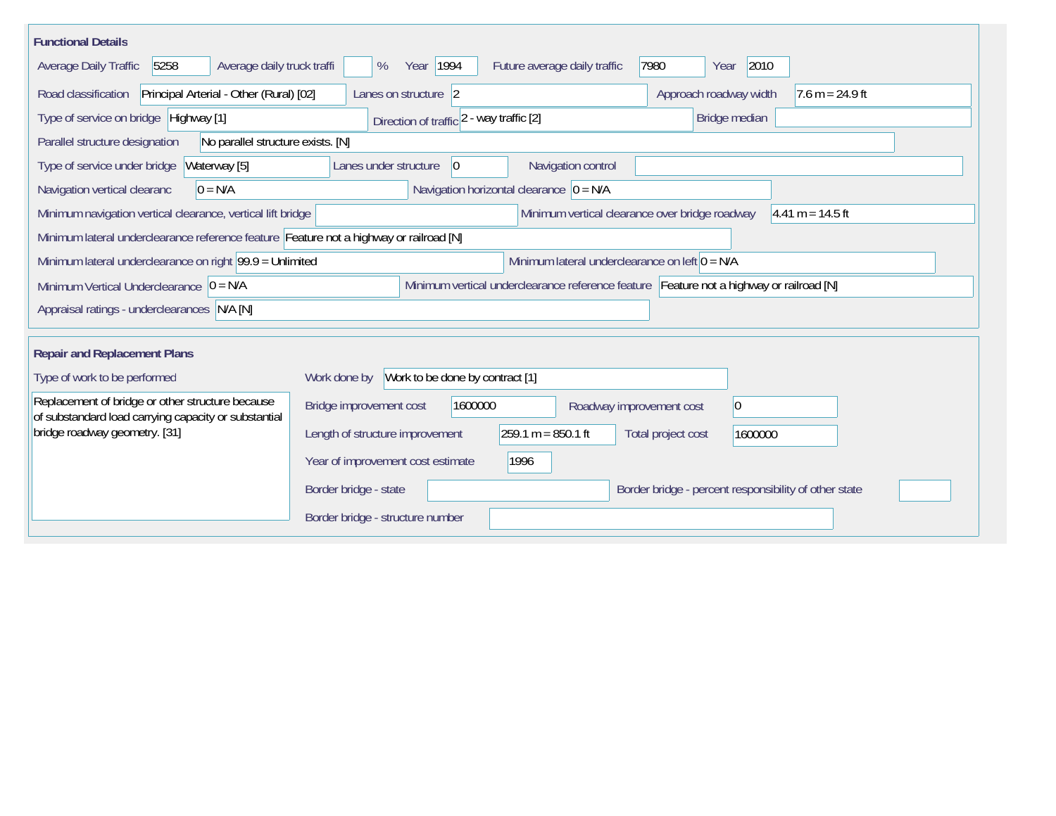| <b>Functional Details</b>                                                                                |                                                                                          |  |
|----------------------------------------------------------------------------------------------------------|------------------------------------------------------------------------------------------|--|
| 5258<br>Average daily truck traffi<br>Average Daily Traffic                                              | 2010<br>Year   1994<br>7980<br>Future average daily traffic<br>%<br>Year                 |  |
| Road classification<br>Principal Arterial - Other (Rural) [02]                                           | Approach roadway width<br>Lanes on structure 2<br>$7.6 m = 24.9 ft$                      |  |
| Type of service on bridge Highway [1]                                                                    | Direction of traffic 2 - way traffic [2]<br>Bridge median                                |  |
| Parallel structure designation<br>No parallel structure exists. [N]                                      |                                                                                          |  |
| Type of service under bridge<br>Waterway [5]                                                             | Navigation control<br>Lanes under structure<br>$\overline{0}$                            |  |
| Navigation vertical clearanc<br>$0 = N/A$                                                                | Navigation horizontal clearance $ 0 = N/A$                                               |  |
| Minimum navigation vertical clearance, vertical lift bridge                                              | Minimum vertical clearance over bridge roadway<br>$4.41 m = 14.5 ft$                     |  |
| Minimum lateral underclearance reference feature Feature not a highway or railroad [N]                   |                                                                                          |  |
| Minimum lateral underclearance on right $99.9 =$ Unlimited                                               | Minimum lateral underclearance on left $0 = N/A$                                         |  |
| Minimum Vertical Underclearance $ 0 = N/A$                                                               | Minimum vertical underclearance reference feature Feature not a highway or railroad [N]  |  |
| Appraisal ratings - underclearances N/A [N]                                                              |                                                                                          |  |
|                                                                                                          |                                                                                          |  |
| <b>Repair and Replacement Plans</b>                                                                      |                                                                                          |  |
| Type of work to be performed                                                                             | Work to be done by contract [1]<br>Work done by                                          |  |
| Replacement of bridge or other structure because<br>of substandard load carrying capacity or substantial | Bridge improvement cost<br>$ 0\rangle$<br>1600000<br>Roadway improvement cost            |  |
| bridge roadway geometry. [31]                                                                            | $259.1 m = 850.1 ft$<br>Length of structure improvement<br>Total project cost<br>1600000 |  |
|                                                                                                          | 1996<br>Year of improvement cost estimate                                                |  |
|                                                                                                          | Border bridge - percent responsibility of other state<br>Border bridge - state           |  |
|                                                                                                          | Border bridge - structure number                                                         |  |